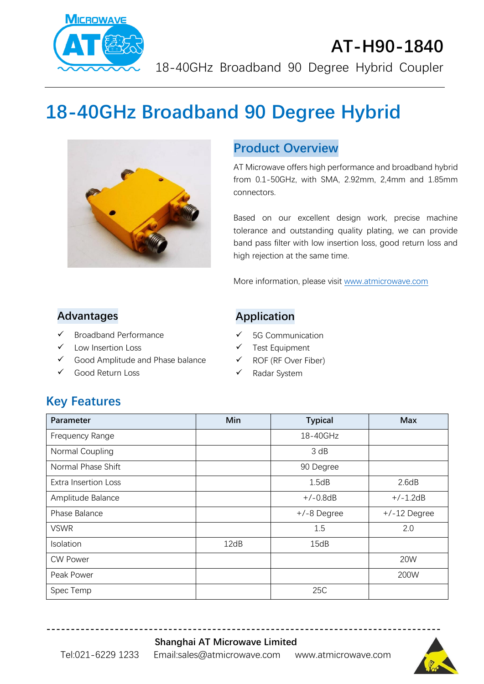

# **AT-H90-1840** 18-40GHz Broadband 90 Degree Hybrid Coupler

# **18-40GHz Broadband 90 Degree Hybrid**



#### **Product Overview**

AT Microwave offers high performance and broadband hybrid from 0.1-50GHz, with SMA, 2.92mm, 2,4mm and 1.85mm connectors.

Based on our excellent design work, precise machine tolerance and outstanding quality plating, we can provide band pass filter with low insertion loss, good return loss and high rejection at the same time.

More information, please visit [www.atmicrowave.com](http://www.atmicrowave.com/)

#### **Advantages**

- ✓ Broadband Performance
- Low Insertion Loss
- ✓ Good Amplitude and Phase balance
- ✓ Good Return Loss

#### **Application**

- ✓ 5G Communication
- ✓ Test Equipment
- ✓ ROF (RF Over Fiber)
- ✓ Radar System

### **Key Features**

| Parameter                   | Min  | <b>Typical</b> | <b>Max</b>     |
|-----------------------------|------|----------------|----------------|
| Frequency Range             |      | 18-40GHz       |                |
| Normal Coupling             |      | 3 dB           |                |
| Normal Phase Shift          |      | 90 Degree      |                |
| <b>Extra Insertion Loss</b> |      | 1.5dB          | 2.6dB          |
| Amplitude Balance           |      | $+/-0.8dB$     | $+/-1.2dB$     |
| Phase Balance               |      | $+/-8$ Degree  | $+/-12$ Degree |
| <b>VSWR</b>                 |      | 1.5            | 2.0            |
| Isolation                   | 12dB | 15dB           |                |
| <b>CW Power</b>             |      |                | 20W            |
| Peak Power                  |      |                | 200W           |
| Spec Temp                   |      | 25C            |                |

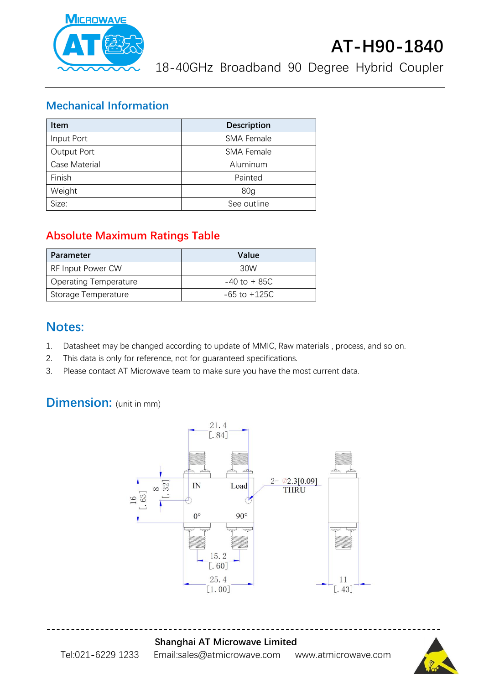

18-40GHz Broadband 90 Degree Hybrid Coupler

#### **Mechanical Information**

| <b>Item</b>   | <b>Description</b> |  |
|---------------|--------------------|--|
| Input Port    | <b>SMA Female</b>  |  |
| Output Port   | <b>SMA Female</b>  |  |
| Case Material | Aluminum           |  |
| Finish        | Painted            |  |
| Weight        | 80 <sub>q</sub>    |  |
| Size:         | See outline        |  |

#### **Absolute Maximum Ratings Table**

| Parameter                    | Value            |
|------------------------------|------------------|
| RF Input Power CW            | 30W              |
| <b>Operating Temperature</b> | $-40$ to $+85C$  |
| Storage Temperature          | $-65$ to $+125C$ |

#### **Notes:**

- 1. Datasheet may be changed according to update of MMIC, Raw materials , process, and so on.
- 2. This data is only for reference, not for guaranteed specifications.
- 3. Please contact AT Microwave team to make sure you have the most current data.

## **Dimension:** (unit in mm)